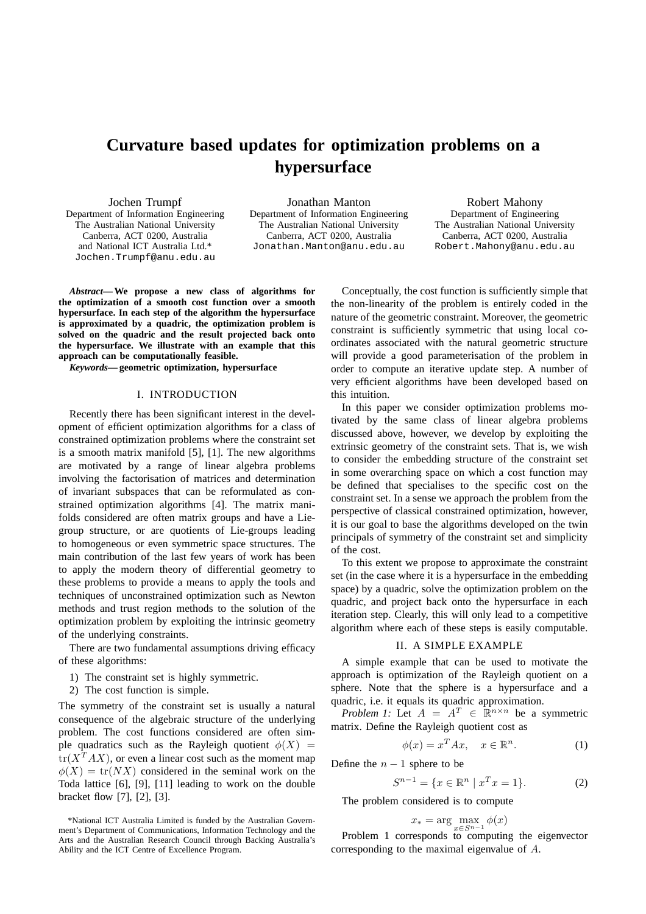# **Curvature based updates for optimization problems on a hypersurface**

Jochen Trumpf Department of Information Engineering The Australian National University Canberra, ACT 0200, Australia and National ICT Australia Ltd.\* Jochen.Trumpf@anu.edu.au

Jonathan Manton Department of Information Engineering The Australian National University Canberra, ACT 0200, Australia Jonathan.Manton@anu.edu.au

Robert Mahony Department of Engineering The Australian National University Canberra, ACT 0200, Australia Robert.Mahony@anu.edu.au

*Abstract***— We propose a new class of algorithms for the optimization of a smooth cost function over a smooth hypersurface. In each step of the algorithm the hypersurface is approximated by a quadric, the optimization problem is solved on the quadric and the result projected back onto the hypersurface. We illustrate with an example that this approach can be computationally feasible.**

*Keywords***— geometric optimization, hypersurface**

#### I. INTRODUCTION

Recently there has been significant interest in the development of efficient optimization algorithms for a class of constrained optimization problems where the constraint set is a smooth matrix manifold [5], [1]. The new algorithms are motivated by a range of linear algebra problems involving the factorisation of matrices and determination of invariant subspaces that can be reformulated as constrained optimization algorithms [4]. The matrix manifolds considered are often matrix groups and have a Liegroup structure, or are quotients of Lie-groups leading to homogeneous or even symmetric space structures. The main contribution of the last few years of work has been to apply the modern theory of differential geometry to these problems to provide a means to apply the tools and techniques of unconstrained optimization such as Newton methods and trust region methods to the solution of the optimization problem by exploiting the intrinsic geometry of the underlying constraints.

There are two fundamental assumptions driving efficacy of these algorithms:

- 1) The constraint set is highly symmetric.
- 2) The cost function is simple.

The symmetry of the constraint set is usually a natural consequence of the algebraic structure of the underlying problem. The cost functions considered are often simple quadratics such as the Rayleigh quotient  $\phi(X)$  =  $tr(X^T AX)$ , or even a linear cost such as the moment map  $\phi(X) = \text{tr}(NX)$  considered in the seminal work on the Toda lattice [6], [9], [11] leading to work on the double bracket flow [7], [2], [3].

Conceptually, the cost function is sufficiently simple that the non-linearity of the problem is entirely coded in the nature of the geometric constraint. Moreover, the geometric constraint is sufficiently symmetric that using local coordinates associated with the natural geometric structure will provide a good parameterisation of the problem in order to compute an iterative update step. A number of very efficient algorithms have been developed based on this intuition.

In this paper we consider optimization problems motivated by the same class of linear algebra problems discussed above, however, we develop by exploiting the extrinsic geometry of the constraint sets. That is, we wish to consider the embedding structure of the constraint set in some overarching space on which a cost function may be defined that specialises to the specific cost on the constraint set. In a sense we approach the problem from the perspective of classical constrained optimization, however, it is our goal to base the algorithms developed on the twin principals of symmetry of the constraint set and simplicity of the cost.

To this extent we propose to approximate the constraint set (in the case where it is a hypersurface in the embedding space) by a quadric, solve the optimization problem on the quadric, and project back onto the hypersurface in each iteration step. Clearly, this will only lead to a competitive algorithm where each of these steps is easily computable.

## II. A SIMPLE EXAMPLE

A simple example that can be used to motivate the approach is optimization of the Rayleigh quotient on a sphere. Note that the sphere is a hypersurface and a quadric, i.e. it equals its quadric approximation.

*Problem 1:* Let  $A = A^T \in \mathbb{R}^{n \times n}$  be a symmetric matrix. Define the Rayleigh quotient cost as

$$
\phi(x) = x^T A x, \quad x \in \mathbb{R}^n. \tag{1}
$$

Define the  $n - 1$  sphere to be

$$
S^{n-1} = \{ x \in \mathbb{R}^n \mid x^T x = 1 \}.
$$
 (2)

The problem considered is to compute

$$
x_* = \arg\max_{x \in S^{n-1}} \phi(x)
$$

Problem 1 corresponds to computing the eigenvector corresponding to the maximal eigenvalue of A.

<sup>\*</sup>National ICT Australia Limited is funded by the Australian Government's Department of Communications, Information Technology and the Arts and the Australian Research Council through Backing Australia's Ability and the ICT Centre of Excellence Program.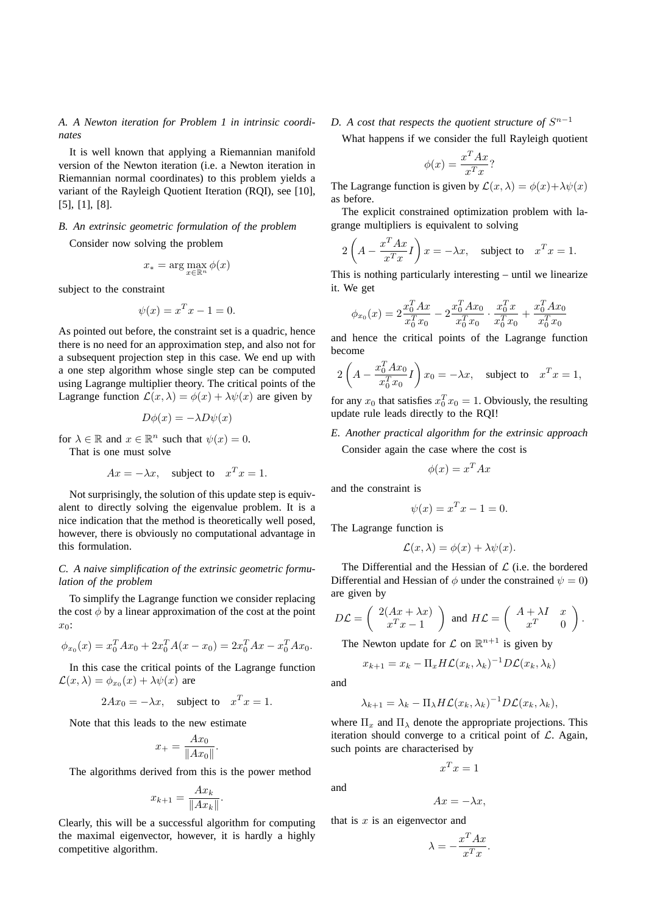*A. A Newton iteration for Problem 1 in intrinsic coordinates*

It is well known that applying a Riemannian manifold version of the Newton iteration (i.e. a Newton iteration in Riemannian normal coordinates) to this problem yields a variant of the Rayleigh Quotient Iteration (RQI), see [10], [5], [1], [8].

#### *B. An extrinsic geometric formulation of the problem*

Consider now solving the problem

$$
x_* = \arg\max_{x \in \mathbb{R}^n} \phi(x)
$$

subject to the constraint

$$
\psi(x) = x^T x - 1 = 0.
$$

As pointed out before, the constraint set is a quadric, hence there is no need for an approximation step, and also not for a subsequent projection step in this case. We end up with a one step algorithm whose single step can be computed using Lagrange multiplier theory. The critical points of the Lagrange function  $\mathcal{L}(x,\lambda) = \phi(x) + \lambda \psi(x)$  are given by

$$
D\phi(x) = -\lambda D\psi(x)
$$

for  $\lambda \in \mathbb{R}$  and  $x \in \mathbb{R}^n$  such that  $\psi(x) = 0$ . That is one must solve

$$
Ax = -\lambda x, \quad \text{subject to} \quad x^T x = 1.
$$

Not surprisingly, the solution of this update step is equivalent to directly solving the eigenvalue problem. It is a nice indication that the method is theoretically well posed, however, there is obviously no computational advantage in this formulation.

### *C. A naive simplification of the extrinsic geometric formulation of the problem*

To simplify the Lagrange function we consider replacing the cost  $\phi$  by a linear approximation of the cost at the point  $x_0$ :

$$
\phi_{x_0}(x) = x_0^T A x_0 + 2x_0^T A (x - x_0) = 2x_0^T A x - x_0^T A x_0.
$$

In this case the critical points of the Lagrange function  $\mathcal{L}(x,\lambda) = \phi_{x_0}(x) + \lambda \psi(x)$  are

$$
2Ax_0 = -\lambda x, \quad \text{subject to} \quad x^T x = 1.
$$

Note that this leads to the new estimate

$$
x_{+} = \frac{Ax_0}{\|Ax_0\|}.
$$

The algorithms derived from this is the power method

$$
x_{k+1} = \frac{Ax_k}{\|Ax_k\|}.
$$

Clearly, this will be a successful algorithm for computing the maximal eigenvector, however, it is hardly a highly competitive algorithm.

D. A cost that respects the quotient structure of  $S^{n-1}$ 

What happens if we consider the full Rayleigh quotient

$$
\phi(x) = \frac{x^T A x}{x^T x}?
$$

The Lagrange function is given by  $\mathcal{L}(x,\lambda) = \phi(x) + \lambda \psi(x)$ as before.

The explicit constrained optimization problem with lagrange multipliers is equivalent to solving

$$
2\left(A - \frac{x^T A x}{x^T x} I\right) x = -\lambda x, \text{ subject to } x^T x = 1.
$$

This is nothing particularly interesting – until we linearize it. We get

$$
\phi_{x_0}(x) = 2\frac{x_0^T A x}{x_0^T x_0} - 2\frac{x_0^T A x_0}{x_0^T x_0} \cdot \frac{x_0^T x}{x_0^T x_0} + \frac{x_0^T A x_0}{x_0^T x_0}
$$

and hence the critical points of the Lagrange function become

$$
2\left(A - \frac{x_0^T A x_0}{x_0^T x_0} I\right) x_0 = -\lambda x, \text{ subject to } x^T x = 1,
$$

for any  $x_0$  that satisfies  $x_0^T x_0 = 1$ . Obviously, the resulting update rule leads directly to the RQI!

## *E. Another practical algorithm for the extrinsic approach*

Consider again the case where the cost is

$$
\phi(x) = x^T A x
$$

and the constraint is

$$
\psi(x) = x^T x - 1 = 0.
$$

The Lagrange function is

$$
\mathcal{L}(x,\lambda) = \phi(x) + \lambda \psi(x).
$$

The Differential and the Hessian of  $\mathcal L$  (i.e. the bordered Differential and Hessian of  $\phi$  under the constrained  $\psi = 0$ ) are given by

$$
D\mathcal{L} = \begin{pmatrix} 2(Ax + \lambda x) \\ x^T x - 1 \end{pmatrix} \text{ and } H\mathcal{L} = \begin{pmatrix} A + \lambda I & x \\ x^T & 0 \end{pmatrix}.
$$

The Newton update for  $\mathcal L$  on  $\mathbb R^{n+1}$  is given by

$$
x_{k+1} = x_k - \Pi_x H \mathcal{L}(x_k, \lambda_k)^{-1} D \mathcal{L}(x_k, \lambda_k)
$$

and

and

$$
\lambda_{k+1} = \lambda_k - \Pi_{\lambda} H \mathcal{L}(x_k, \lambda_k)^{-1} D \mathcal{L}(x_k, \lambda_k),
$$

where  $\Pi_x$  and  $\Pi_\lambda$  denote the appropriate projections. This iteration should converge to a critical point of  $\mathcal{L}$ . Again, such points are characterised by

$$
x^T x = 1
$$

$$
Ax = -\lambda x,
$$

that is  $x$  is an eigenvector and

$$
\lambda = -\frac{x^T A x}{x^T x}
$$

.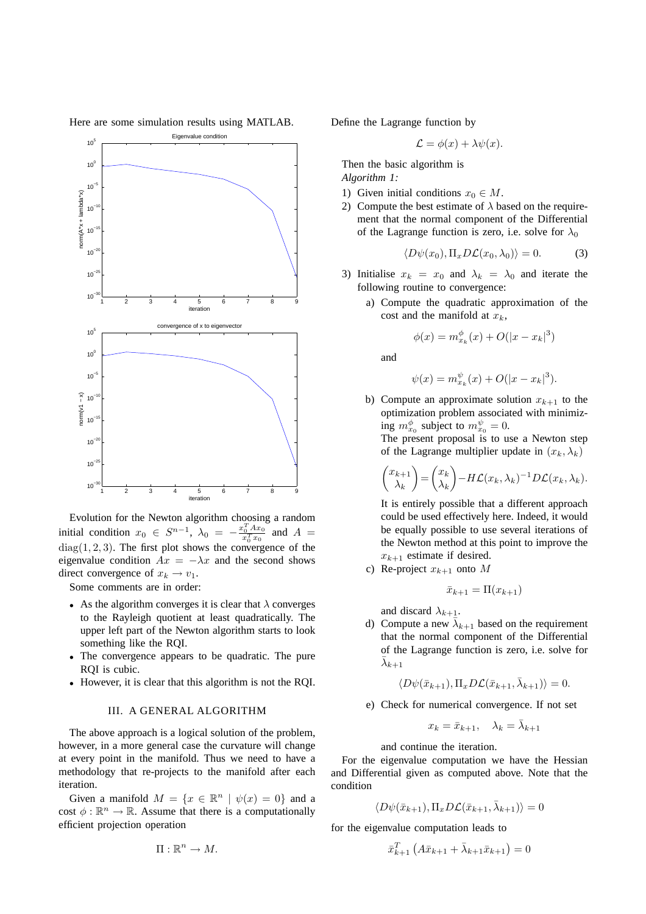

Here are some simulation results using MATLAB.

Evolution for the Newton algorithm choosing a random initial condition  $x_0 \in S^{n-1}$ ,  $\lambda_0 = -\frac{x_0^T A x_0}{x^T x_0}$  $\frac{x_0^{T} A x_0}{x_0^{T} x_0}$  and  $A =$  $diag(1, 2, 3)$ . The first plot shows the convergence of the eigenvalue condition  $Ax = -\lambda x$  and the second shows direct convergence of  $x_k \to v_1$ .

Some comments are in order:

- As the algorithm converges it is clear that  $\lambda$  converges to the Rayleigh quotient at least quadratically. The upper left part of the Newton algorithm starts to look something like the RQI.
- The convergence appears to be quadratic. The pure RQI is cubic.
- However, it is clear that this algorithm is not the RQI.

#### III. A GENERAL ALGORITHM

The above approach is a logical solution of the problem, however, in a more general case the curvature will change at every point in the manifold. Thus we need to have a methodology that re-projects to the manifold after each iteration.

Given a manifold  $M = \{x \in \mathbb{R}^n \mid \psi(x) = 0\}$  and a cost  $\phi : \mathbb{R}^n \to \mathbb{R}$ . Assume that there is a computationally efficient projection operation

$$
\Pi:\mathbb{R}^n\to M.
$$

Define the Lagrange function by

$$
\mathcal{L} = \phi(x) + \lambda \psi(x).
$$

Then the basic algorithm is *Algorithm 1:*

- 1) Given initial conditions  $x_0 \in M$ .
- 2) Compute the best estimate of  $\lambda$  based on the requirement that the normal component of the Differential of the Lagrange function is zero, i.e. solve for  $\lambda_0$

$$
\langle D\psi(x_0), \Pi_x D\mathcal{L}(x_0, \lambda_0) \rangle = 0.
$$
 (3)

- 3) Initialise  $x_k = x_0$  and  $\lambda_k = \lambda_0$  and iterate the following routine to convergence:
	- a) Compute the quadratic approximation of the cost and the manifold at  $x_k$ ,

$$
\phi(x) = m_{x_k}^{\phi}(x) + O(|x - x_k|^3)
$$

and

$$
\psi(x) = m_{x_k}^{\psi}(x) + O(|x - x_k|^3).
$$

b) Compute an approximate solution  $x_{k+1}$  to the optimization problem associated with minimizing  $m_{x_0}^{\phi}$  subject to  $m_{x_0}^{\psi} = 0$ .

The present proposal is to use a Newton step of the Lagrange multiplier update in  $(x_k, \lambda_k)$ 

$$
\begin{pmatrix} x_{k+1} \\ \lambda_k \end{pmatrix} = \begin{pmatrix} x_k \\ \lambda_k \end{pmatrix} - H\mathcal{L}(x_k, \lambda_k)^{-1} D\mathcal{L}(x_k, \lambda_k).
$$

It is entirely possible that a different approach could be used effectively here. Indeed, it would be equally possible to use several iterations of the Newton method at this point to improve the  $x_{k+1}$  estimate if desired.

c) Re-project  $x_{k+1}$  onto M

$$
\bar{x}_{k+1} = \Pi(x_{k+1})
$$

and discard  $\lambda_{k+1}$ .

d) Compute a new  $\bar{\lambda}_{k+1}$  based on the requirement that the normal component of the Differential of the Lagrange function is zero, i.e. solve for  $\bar \lambda_{k+1}$ 

$$
\langle D\psi(\bar{x}_{k+1}), \Pi_x D\mathcal{L}(\bar{x}_{k+1}, \bar{\lambda}_{k+1})\rangle = 0.
$$

e) Check for numerical convergence. If not set

$$
x_k = \bar{x}_{k+1}, \quad \lambda_k = \bar{\lambda}_{k+1}
$$

and continue the iteration.

For the eigenvalue computation we have the Hessian and Differential given as computed above. Note that the condition

$$
\langle D\psi(\bar{x}_{k+1}), \Pi_x D\mathcal{L}(\bar{x}_{k+1}, \bar{\lambda}_{k+1})\rangle = 0
$$

for the eigenvalue computation leads to

$$
\bar{x}_{k+1}^T (A \bar{x}_{k+1} + \bar{\lambda}_{k+1} \bar{x}_{k+1}) = 0
$$